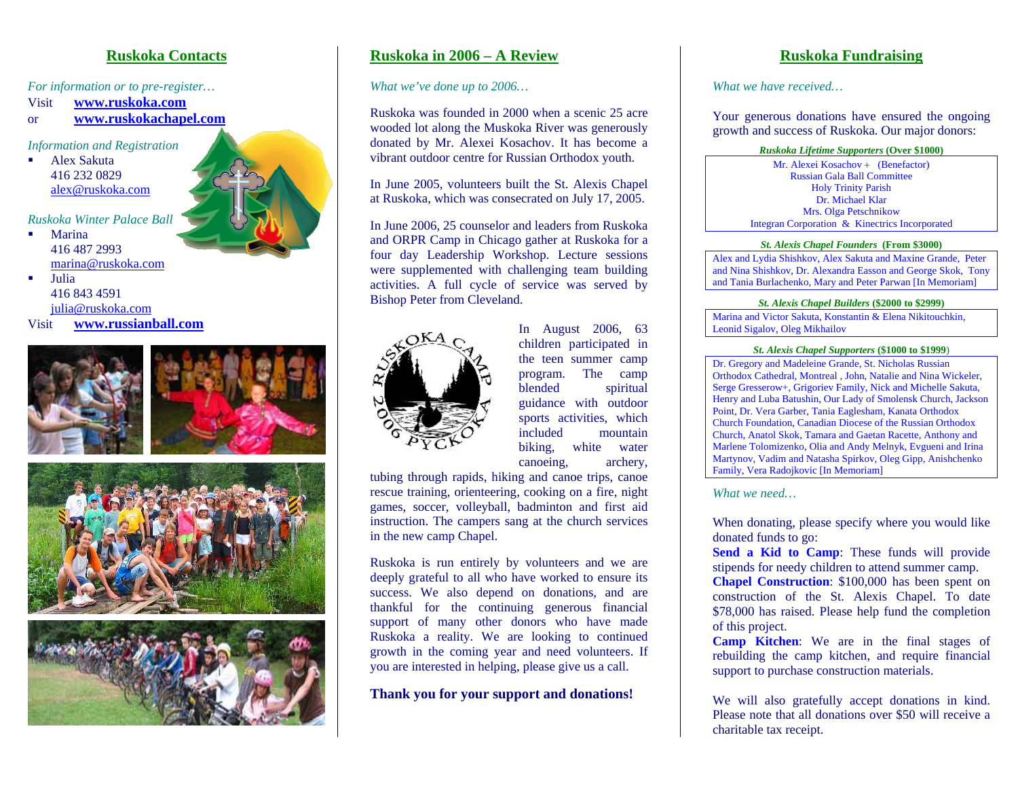### **Ruskoka Contacts**

*For information or to pre-register…* 

Visit**www.ruskoka.com**

or **www.ruskokachapel.com**

*Information and Registration* 

г Alex Sakuta 416 232 0829 alex@ruskoka.com

*Ruskoka Winter Palace Ball* 

П Marina 416 487 2993 marina@ruskoka.com

П Julia 416 843 4591 julia@ruskoka.com Visit **www.russianball.com**







# **Ruskoka in 2006 – A Review**

*What we've done up to 2006…* 

Ruskoka was founded in 2000 when a scenic 25 acre wooded lot along the Muskoka River was generously donated by Mr. Alexei Kosachov. It has become a vibrant outdoor centre for Russian Orthodox youth.

In June 2005, volunteers built the St. Alexis Chapel at Ruskoka, which was consecrated on July 17, 2005.

In June 2006, 25 counselor and leaders from Ruskoka and ORPR Camp in Chicago gather at Ruskoka for a four day Leadership Workshop. Lecture sessions were supplemented with challenging team building activities. A full cycle of service was served by Bishop Peter from Cleveland.



In August 2006, 63 children participated in the teen summer camp program. The camp blended spiritual guidance with outdoor sports activities, which included mountain biking, white water canoeing, archery,

tubing through rapids, hiking and canoe trips, canoe rescue training, orienteering, cooking on a fire, night games, soccer, volleyball, badminton and first aid instruction. The campers sang at the church services in the new camp Chapel.

Ruskoka is run entirely by volunteers and we are deeply grateful to all who have worked to ensure its success. We also depend on donations, and are thankful for the continuing generous financial support of many other donors who have made Ruskoka a reality. We are looking to continued growth in the coming year and need volunteers. If you are interested in helping, please give us a call.

**Thank you for your support and donations!**

# **Ruskoka Fundraising**

*What we have received…* 

Your generous donations have ensured the ongoing growth and success of Ruskoka. Our major donors:

*Ruskoka Lifetime Supporters* **(Over \$1000)**

Mr. Alexei Kosachov + (Benefactor) Russian Gala Ball Committee Holy Trinity Parish Dr. Michael Klar Mrs. Olga Petschnikow Integran Corporation & Kinectrics Incorporated

#### *St. Alexis Chapel Founders* **(From \$3000)**

Alex and Lydia Shishkov, Alex Sakuta and Maxine Grande, Peter and Nina Shishkov, Dr. Alexandra Easson and George Skok, Tony and Tania Burlachenko, Mary and Peter Parwan [In Memoriam]

#### *St. Alexis Chapel Builders* **(\$2000 to \$2999)**

Marina and Victor Sakuta, Konstantin & Elena Nikitouchkin, Leonid Sigalov, Oleg Mikhailov

#### *St. Alexis Chapel Supporters* **(\$1000 to \$1999**)

Dr. Gregory and Madeleine Grande, St. Nicholas Russian Orthodox Cathedral, Montreal , John, Natalie and Nina Wickeler, Serge Gresserow+, Grigoriev Family, Nick and Michelle Sakuta, Henry and Luba Batushin, Our Lady of Smolensk Church, Jackson Point, Dr. Vera Garber, Tania Eaglesham, Kanata Orthodox Church Foundation, Canadian Diocese of the Russian Orthodox Church, Anatol Skok, Tamara and Gaetan Racette, Anthony and Marlene Tolomizenko, Olia and Andy Melnyk, Evgueni and Irina Martynov, Vadim and Natasha Spirkov, Oleg Gipp, Anishchenko Family, Vera Radojkovic [In Memoriam]

*What we need…*

When donating, please specify where you would like donated funds to go:

**Send a Kid to Camp**: These funds will provide stipends for needy children to attend summer camp.

**Chapel Construction**: \$100,000 has been spent on construction of the St. Alexis Chapel. To date \$78,000 has raised. Please help fund the completion of this project.

**Camp Kitchen**: We are in the final stages of rebuilding the camp kitchen, and require financial support to purchase construction materials.

We will also gratefully accept donations in kind. Please note that all donations over \$50 will receive a charitable tax receipt.